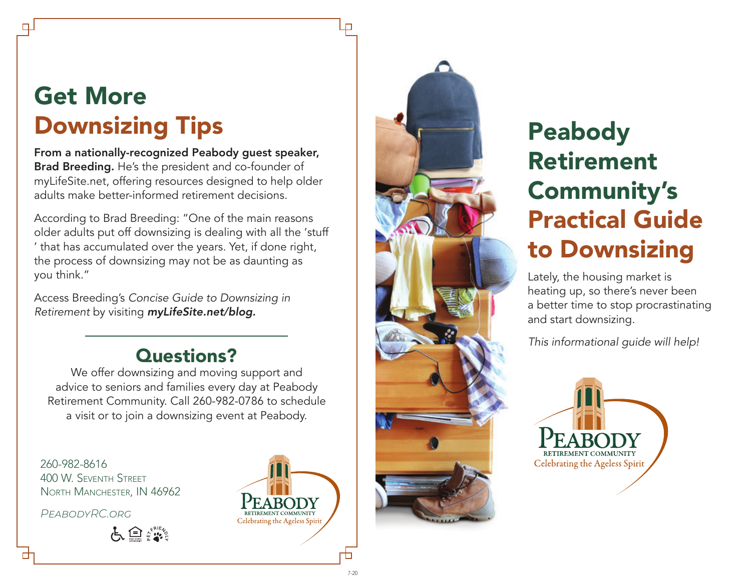# Get More Downsizing Tips

### From a nationally-recognized Peabody guest speaker, Brad Breeding. He's the president and co-founder of myLifeSite.net, offering resources designed to help older adults make better-informed retirement decisions.

According to Brad Breeding: "One of the main reasons older adults put off downsizing is dealing with all the 'stuff ' that has accumulated over the years. Yet, if done right, the process of downsizing may not be as daunting as you think."

Access Breeding's *Concise Guide to Downsizing in Retirement* by visiting *myLifeSite.net/blog.*

### Questions?

We offer downsizing and moving support and advice to seniors and families every day at Peabody Retirement Community. Call 260-982-0786 to schedule a visit or to join a downsizing event at Peabody.

260-982-8616 400 W. Seventh Street North Manchester, IN 46962

*PeabodyRC.org*

占鱼紫





# Peabody Retirement Community's Practical Guide to Downsizing

Lately, the housing market is heating up, so there's never been a better time to stop procrastinating and start downsizing.

*This informational guide will help!*